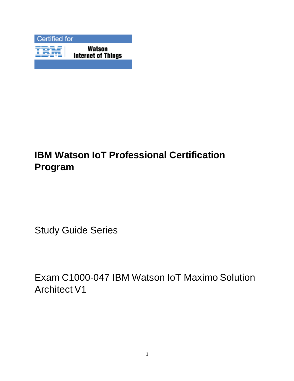

# **IBM Watson IoT Professional Certification Program**

Study Guide Series

Exam C1000-047 IBM Watson IoT Maximo Solution Architect V1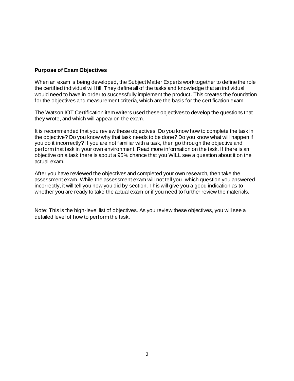#### **Purpose of Exam Objectives**

When an exam is being developed, the Subject Matter Experts work together to define the role the certified individual will fill. They define all of the tasks and knowledge that an individual would need to have in order to successfully implement the product. This creates the foundation for the objectives and measurement criteria, which are the basis for the certification exam.

The Watson IOT Certification item writers used these objectives to develop the questions that they wrote, and which will appear on the exam.

It is recommended that you review these objectives. Do you know how to complete the task in the objective? Do you know why that task needs to be done? Do you know what will happen if you do it incorrectly? If you are not familiar with a task, then go through the objective and perform that task in your own environment. Read more information on the task. If there is an objective on a task there is about a 95% chance that you WILL see a question about it on the actual exam.

After you have reviewed the objectives and completed your own research, then take the assessment exam. While the assessment exam will not tell you, which question you answered incorrectly, it will tell you how you did by section. This will give you a good indication as to whether you are ready to take the actual exam or if you need to further review the materials.

Note: This is the high-level list of objectives. As you review these objectives, you will see a detailed level of how to perform the task.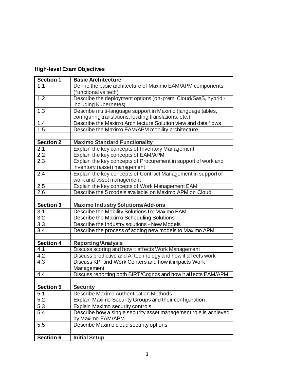# **High-level Exam Objectives**

| <b>Section 1</b> | <b>Basic Architecture</b>                                        |
|------------------|------------------------------------------------------------------|
| 1.1              | Define the basic architecture of Maximo EAM/APM components       |
|                  | (functional vs tech)                                             |
| 1.2              | Describe the deployment options (on-prem, Cloud/SaaS, hybrid -   |
|                  | including Kubernetes)                                            |
| 1.3              | Describe multi-language support in Maximo (language tables,      |
|                  | configuring translations, loading translations, etc.)            |
| 1.4              | Describe the Maximo Architecture Solution view and data flows    |
| 1.5              | Describe the Maximo EAM/APM mobility architecture                |
|                  |                                                                  |
| <b>Section 2</b> | <b>Maximo Standard Functionality</b>                             |
| 2.1              | Explain the key concepts of Inventory Management                 |
| $\overline{2.2}$ | Explain the key concepts of EAM/APM                              |
| 2.3              | Explain the key concepts of Procurement in support of work and   |
|                  | inventory (asset) management                                     |
| 2.4              | Explain the key concepts of Contract Management in support of    |
|                  | work and asset management                                        |
| 2.5              | Explain the key concepts of Work Management EAM                  |
| 2.6              | Describe the 5 models available on Maximo APM on Cloud           |
|                  |                                                                  |
| Section 3        | <b>Maximo Industry Solutions/Add-ons</b>                         |
| 3.1              | Describe the Mobility Solutions for Maximo EAM                   |
| 3.2              | Describe the Maximo Scheduling Solutions                         |
| 3.3              | Describe the Industry solutions - New Models                     |
| 3.4              | Describe the process of adding new models to Maximo APM          |
|                  |                                                                  |
| <b>Section 4</b> | <b>Reporting/Analysis</b>                                        |
| 4.1              | Discuss scoring and how it affects Work Management               |
| 4.2              | Discuss predictive and AI technology and how it affects work     |
| 4.3              | Discuss KPI and Work Centers and how it impacts Work             |
|                  | Management                                                       |
| 4.4              | Discuss reporting both BIRT/Cognos and how it affects EAM/APM    |
|                  |                                                                  |
| Section 5        | <b>Security</b>                                                  |
| 5.1              | <b>Describe Maximo Authentication Methods</b>                    |
| $\overline{5.2}$ | Explain Maximo Security Groups and their configuration           |
| 5.3              | Explain Maximo security controls                                 |
| 5.4              | Describe how a single security asset management role is achieved |
|                  | by Maximo EAM/APM                                                |
| 5.5              | Describe Maximo cloud security options                           |
|                  |                                                                  |
| <b>Section 6</b> | <b>Initial Setup</b>                                             |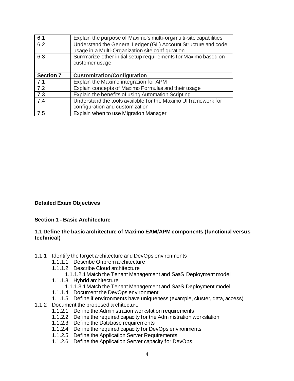| 6.1              | Explain the purpose of Maximo's multi-org/multi-site capabilities |
|------------------|-------------------------------------------------------------------|
| 6.2              | Understand the General Ledger (GL) Account Structure and code     |
|                  | usage in a Multi-Organization site configuration                  |
| 6.3              | Summarize other initial setup requirements for Maximo based on    |
|                  | customer usage                                                    |
|                  |                                                                   |
| <b>Section 7</b> | <b>Customization/Configuration</b>                                |
|                  |                                                                   |
| 7.1              | Explain the Maximo integration for APM                            |
| 7.2              | Explain concepts of Maximo Formulas and their usage               |
| 7.3              | Explain the benefits of using Automation Scripting                |
| 7.4              | Understand the tools available for the Maximo UI framework for    |
|                  | configuration and customization                                   |

#### **Detailed Exam Objectives**

#### **Section 1 - Basic Architecture**

#### **1.1 Define the basic architecture of Maximo EAM/APM components (functional versus technical)**

- 1.1.1 Identify the target architecture and DevOps environments
	- 1.1.1.1 Describe Onprem architecture
	- 1.1.1.2 Describe Cloud architecture
		- 1.1.1.2.1Match the Tenant Management and SaaS Deployment model
	- 1.1.1.3 Hybrid architecture
		- 1.1.1.3.1Match the Tenant Management and SaaS Deployment model
	- 1.1.1.4 Document the DevOps environment
	- 1.1.1.5 Define if environments have uniqueness (example, cluster, data, access)
- 1.1.2 Document the proposed architecture
	- 1.1.2.1 Define the Administration workstation requirements
	- 1.1.2.2 Define the required capacity for the Administration workstation
	- 1.1.2.3 Define the Database requirements
	- 1.1.2.4 Define the required capacity for DevOps environments
	- 1.1.2.5 Define the Application Server Requirements
	- 1.1.2.6 Define the Application Server capacity for DevOps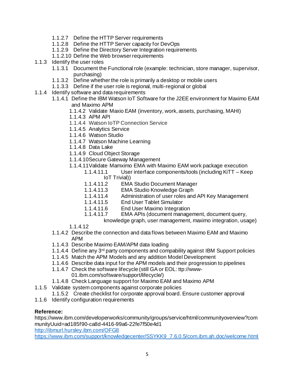- 1.1.2.7 Define the HTTP Server requirements
- 1.1.2.8 Define the HTTP Server capacity for DevOps
- 1.1.2.9 Define the Directory Server Integration requirements
- 1.1.2.10 Define the Web browser requirements
- 1.1.3 Identify the user roles
	- 1.1.3.1 Document the Functional role (example: technician, store manager, supervisor, purchasing)
	- 1.1.3.2 Define whether the role is primarily a desktop or mobile users
	- 1.1.3.3 Define if the user role is regional, multi-regional or global
- 1.1.4 Identify software and data requirements
	- 1.1.4.1 Define the IBM Watson IoT Software for the J2EE environment for Maximo EAM and Maximo APM
		- 1.1.4.2 Validate Maxio EAM (inventory, work, assets, purchasing, MAHI)
		- 1.1.4.3 APM API
		- 1.1.4.4 Watson IoTP Connection Service
		- 1.1.4.5 Analytics Service
		- 1.1.4.6 Watson Studio
		- 1.1.4.7 Watson Machine Learning
		- 1.1.4.8 Data Lake
		- 1.1.4.9 Cloud Object Storage
		- 1.1.4.10Secure Gateway Management
		- 1.1.4.11Validate Mamximo EMA with Maximo EAM work package execution
			- 1.1.4.11.1 User interface components/tools (including KiTT Keep IoT Trivial))
			- 1.1.4.11.2 EMA Studio Document Manager
			- 1.1.4.11.3 EMA Studio Knowledge Graph
			- 1.1.4.11.4 Administration of user roles and API Key Management
			- 1.1.4.11.5 End User Tablet Simulator
			- 1.1.4.11.6 End User Maximo Integration
			- 1.1.4.11.7 EMA APIs (document management, document query,
				- knowledge graph, user management, maximo integration, usage)
		- 1.1.4.12
	- 1.1.4.2 Describe the connection and data flows between Maximo EAM and Maximo APM
	- 1.1.4.3 Describe Maximo EAM/APM data loading
	- 1.1.4.4 Define any 3<sup>rd</sup> party components and compability against IBM Support policies
	- 1.1.4.5 Match the APM Models and any addition Model Development
	- 1.1.4.6 Describe data input for the APM models and their progression to pipelines
	- 1.1.4.7 Check the software lifecycle (still GA or EOL: ttp://www-01.ibm.com/software/support/lifecycle/)
	- 1.1.4.8 Check Language support for Maximo EAM and Maximo APM
- 1.1.5 Validate system components against corporate policies
	- 1.1.5.2 Create checklist for corporate approval board. Ensure customer approval
- 1.1.6 Identify configuration requirements

#### **Reference:**

https://www.ibm.com/developerworks/community/groups/service/html/communityoverview?com munityUuid=ad185f90-ca8d-4416-99a6-22fe7f50e4d1 <http://ibmurl.hursley.ibm.com/OFG8>

[https://www.ibm.com/support/knowledgecenter/SSYKK9\\_7.6.0.5/com.ibm.ah.doc/welcome.html](https://www.ibm.com/support/knowledgecenter/SSYKK9_7.6.0.5/com.ibm.ah.doc/welcome.html)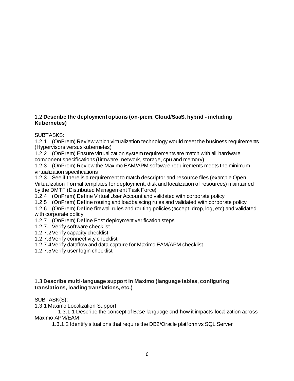#### 1.2 **Describe the deployment options (on-prem, Cloud/SaaS, hybrid - including Kubernetes)**

SUBTASKS:

1.2.1 (OnPrem) Review which virtualization technology would meet the business requirements (Hypervisors versus kubernetes)

1.2.2 (OnPrem) Ensure virtualization system requirements are match with all hardware component specifications (firmware, network, storage, cpu and memory)

1.2.3 (OnPrem) Review the Maximo EAM/APM software requirements meets the minimum virtualization specifications

1.2.3.1See if there is a requirement to match descriptor and resource files (example Open Virtualization Format templates for deployment, disk and localization of resources) maintained by the DMTF (Distributed Management Task Force)

1.2.4 (OnPrem) Define Virtual User Account and validated with corporate policy

1.2.5 (OnPrem) Define routing and loadbalacing rules and validated with corporate policy

1.2.6 (OnPrem) Define firewall rules and routing policies (accept, drop, log, etc) and validated with corporate policy

1.2.7 (OnPrem) Define Post deployment verification steps

1.2.7.1Verify software checklist

1.2.7.2Verify capacity checklist

1.2.7.3Verify connectivity checklist

1.2.7.4Verify dataflow and data capture for Maximo EAM/APM checklist

1.2.7.5Verify user login checklist

#### 1.3 **Describe multi-language support in Maximo (language tables, configuring translations, loading translations, etc.)**

#### SUBTASK(S):

1.3.1 Maximo Localization Support

 1.3.1.1 Describe the concept of Base language and how it impacts localization across Maximo APM/EAM

1.3.1.2 Identify situations that require the DB2/Oracle platform vs SQL Server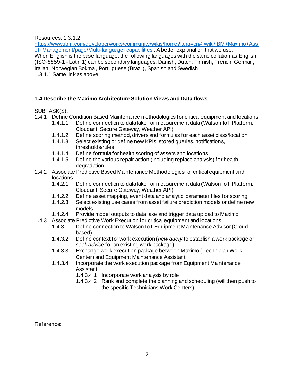#### Resources: 1.3.1.2

[https://www.ibm.com/developerworks/community/wikis/home?lang=en#!/wiki/IBM+Maximo+Ass](https://www.ibm.com/developerworks/community/wikis/home?lang=en#!/wiki/IBM+Maximo+Asset+Management/page/Multi-language+capabilities) [et+Management/page/Multi-language+capabilities](https://www.ibm.com/developerworks/community/wikis/home?lang=en#!/wiki/IBM+Maximo+Asset+Management/page/Multi-language+capabilities) . A better explanation that we use:

When English is the base language, the following languages with the same collation as English (ISO-8859-1 - Latin 1) can be secondary languages. Danish, Dutch, Finnish, French, German, Italian, Norwegian Bokmål, Portuguese (Brazil), Spanish and Swedish

1.3.1.1 Same link as above.

#### **1.4 Describe the Maximo Architecture Solution Views and Data flows**

#### SUBTASK(S):

- 1.4.1 Define Condition Based Maintenance methodologies for critical equipment and locations
	- 1.4.1.1 Define connection to data lake for measurement data (Watson IoT Platform, Cloudant, Secure Gateway, Weather API)
	- 1.4.1.2 Define scoring method, drivers and formulas for each asset class/location
	- 1.4.1.3 Select existing or define new KPIs, stored queries, notifications, thresholds/rules
	- 1.4.1.4 Define formula for health scoring of assets and locations
	- 1.4.1.5 Define the various repair action (including replace analysis) for health degradation
- 1.4.2 Associate Predictive Based Maintenance Methodologies for critical equipment and locations
	- 1.4.2.1 Define connection to data lake for measurement data (Watson IoT Platform, Cloudant, Secure Gateway, Weather API)
	- 1.4.2.2 Define asset mapping, event data and analytic parameter files for scoring
	- 1.4.2.3 Select existing use cases from asset failure prediction models or define new models
	- 1.4.2.4 Provide model outputs to data lake and trigger data upload to Maximo
- 1.4.3 Associate Predictive Work Execution for critical equipment and locations
	- 1.4.3.1 Define connection to Watson IoT Equipment Maintenance Advisor (Cloud based)
	- 1.4.3.2 Define context for work execution (*new query* to establish a work package or *seek advice* for an existing work package)
	- 1.4.3.3 Exchange work execution package between Maximo (Technician Work Center) and Equipment Maintenance Assistant
	- 1.4.3.4 Incorporate the work execution package from Equipment Maintenance Assistant
		- 1.4.3.4.1 Incorporate work analysis by role
		- 1.4.3.4.2 Rank and complete the planning and scheduling (will then push to the specific Technicians Work Centers)

Reference: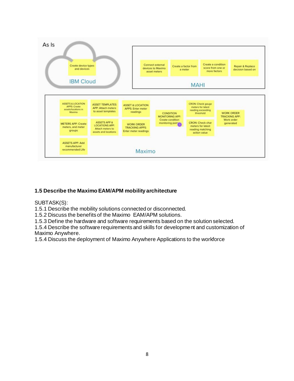

# **1.5 Describe the Maximo EAM/APM mobility architecture**

SUBTASK(S):

1.5.1 Describe the mobility solutions connected or disconnected.

1.5.2 Discuss the benefits of the Maximo EAM/APM solutions.

1.5.3 Define the hardware and software requirements based on the solution selected.

1.5.4 Describe the software requirements and skills for development and customization of Maximo Anywhere.

1.5.4 Discuss the deployment of Maximo Anywhere Applications to the workforce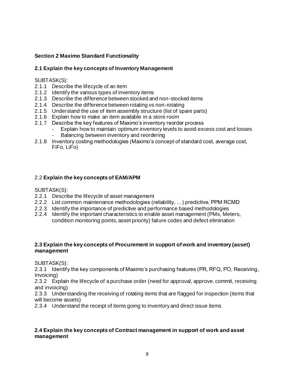# **Section 2 Maximo Standard Functionality**

#### **2.1 Explain the key concepts of Inventory Management**

#### SUBTASK(S):

- 2.1.1 Describe the lifecycle of an item
- 2.1.2 Identify the various types of inventory items
- 2.1.3 Describe the difference between stocked and non-stocked items
- 2.1.4 Describe the difference between rotating vs non-rotating
- 2.1.5 Understand the use of item assembly structure (list of spare parts)
- 2.1.6 Explain how to make an item available in a store room
- 2.1.7 Describe the key features of Maximo's inventory reorder process
	- Explain how to maintain optimum inventory levels to avoid excess cost and losses - Balancing between inventory and reordering
- 2.1.8 Inventory costing methodologies (Maximo's concept of standard cost, average cost, FiFo, LiFo)

#### 2.2 **Explain the key concepts of EAM/APM**

SUBTASK(S):

- 2.2.1 Describe the lifecycle of asset management
- 2.2.2 List common maintenance methodologies (reliability, …) predictive, PPM RCMD
- 2.2.3 Identify the importance of predictive and performance based methodologies
- 2.2.4 Identify the important characteristics to enable asset management (PMs, Meters, condition monitoring points, asset priority) failure codes and defect elimination

#### **2.3 Explain the key concepts of Procurement in support of work and inventory (asset) management**

SUBTASK(S):

2.3.1 Identify the key components of Maximo's purchasing features (PR, RFQ, PO, Receiving, Invoicing)

2.3.2 Explain the lifecycle of a purchase order (need for approval, approve, commit, receiving and invoicing)

2.3.3 Understanding the receiving of rotating items that are flagged for inspection (items that will become assets)

2.3.4 Understand the receipt of items going to inventory and direct issue items

#### **2.4 Explain the key concepts of Contract management in support of work and asset management**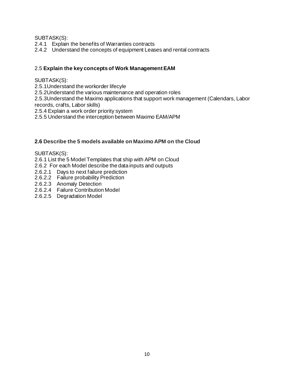SUBTASK(S):

- 2.4.1 Explain the benefits of Warranties contracts
- 2.4.2 Understand the concepts of equipment Leases and rental contracts

#### 2.5 **Explain the key concepts of Work Management EAM**

#### SUBTASK(S):

2.5.1Understand the workorder lifecyle

2.5.2Understand the various maintenance and operation roles

2.5.3Understand the Maximo applications that support work management (Calendars, Labor records, crafts, Labor skills)

2.5.4 Explain a work order priority system

2.5.5 Understand the interception between Maximo EAM/APM

#### **2.6 Describe the 5 models available on Maximo APM on the Cloud**

#### SUBTASK(S):

2.6.1 List the 5 Model Templates that ship with APM on Cloud

2.6.2 For each Model describe the data inputs and outputs

- 2.6.2.1 Days to next failure prediction
- 2.6.2.2 Failure probability Prediction
- 2.6.2.3 Anomaly Detection
- 2.6.2.4 Failure Contribution Model
- 2.6.2.5 Degradation Model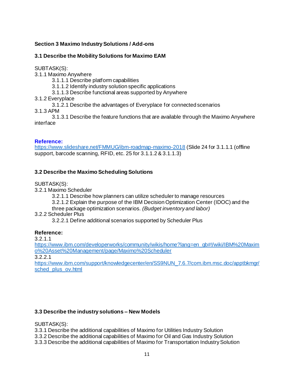# **Section 3 Maximo Industry Solutions / Add-ons**

# **3.1 Describe the Mobility Solutions for Maximo EAM**

SUBTASK(S):

3.1.1 Maximo Anywhere

3.1.1.1 Describe platform capabilities

3.1.1.2 Identify industry solution specific applications

3.1.1.3 Describe functional areas supported by Anywhere

3.1.2 Everyplace

3.1.2.1 Describe the advantages of Everyplace for connected scenarios

3.1.3 APM

3.1.3.1 Describe the feature functions that are available through the Maximo Anywhere interface

#### **Reference:**

<https://www.slideshare.net/FMMUG/ibm-roadmap-maximo-2018> (Slide 24 for 3.1.1.1 (offline support, barcode scanning, RFID, etc. 25 for 3.1.1.2 & 3.1.1.3)

# **3.2 Describe the Maximo Scheduling Solutions**

SUBTASK(S):

3.2.1 Maximo Scheduler

3.2.1.1 Describe how planners can utilize scheduler to manage resources

3.2.1.2 Explain the purpose of the IBM Decision Optimization Center (IDOC) and the

three package optimization scenarios*. (Budget inventory and labor)*

3.2.2 Scheduler Plus

3.2.2.1 Define additional scenarios supported by Scheduler Plus

# **Reference:**

3.2.1.1

[https://www.ibm.com/developerworks/community/wikis/home?lang=en\\_gb#!/wiki/IBM%20Maxim](https://www.ibm.com/developerworks/community/wikis/home?lang=en_gb#!/wiki/IBM%20Maximo%20Asset%20Management/page/Maximo%20Scheduler) [o%20Asset%20Management/page/Maximo%20Scheduler](https://www.ibm.com/developerworks/community/wikis/home?lang=en_gb#!/wiki/IBM%20Maximo%20Asset%20Management/page/Maximo%20Scheduler)

3.2.2.1

[https://www.ibm.com/support/knowledgecenter/en/SS9NUN\\_7.6.7/com.ibm.msc.doc/apptbkmgr/](https://www.ibm.com/support/knowledgecenter/en/SS9NUN_7.6.7/com.ibm.msc.doc/apptbkmgr/sched_plus_ov.html) [sched\\_plus\\_ov.html](https://www.ibm.com/support/knowledgecenter/en/SS9NUN_7.6.7/com.ibm.msc.doc/apptbkmgr/sched_plus_ov.html)

# **3.3 Describe the industry solutions – New Models**

SUBTASK(S):

3.3.1 Describe the additional capabilities of Maximo for Utilities Industry Solution

3.3.2 Describe the additional capabilities of Maximo for Oil and Gas Industry Solution

3.3.3 Describe the additional capabilities of Maximo for Transportation Industry Solution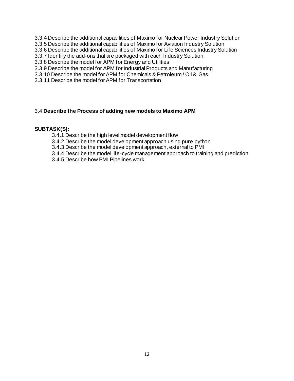- 3.3.4 Describe the additional capabilities of Maximo for Nuclear Power Industry Solution
- 3.3.5 Describe the additional capabilities of Maximo for Aviation Industry Solution
- 3.3.6 Describe the additional capabilities of Maximo for Life Sciences Industry Solution
- 3.3.7 Identify the add-ons that are packaged with each Industry Solution
- 3.3.8 Describe the model for APM for Energy and Utilities
- 3.3.9 Describe the model for APM for Industrial Products and Manufacturing
- 3.3.10 Describe the model for APM for Chemicals & Petroleum / Oil & Gas
- 3.3.11 Describe the model for APM for Transportation

#### 3.4 **Describe the Process of adding new models to Maximo APM**

#### **SUBTASK(S):**

- 3.4.1 Describe the high level model development flow
- 3.4.2 Describe the model development approach using pure python
- 3.4.3 Describe the model development approach, external to PMI
- 3.4.4 Describe the model life-cycle management approach to training and prediction
- 3.4.5 Describe how PMI Pipelines work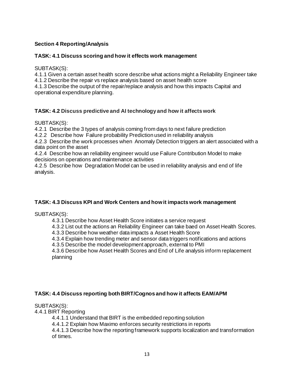# **Section 4 Reporting/Analysis**

#### **TASK: 4.1 Discuss scoring and how it effects work management**

SUBTASK(S):

4.1.1 Given a certain asset health score describe what actions might a Reliability Engineer take 4.1.2 Describe the repair vs replace analysis based on asset health score

4.1.3 Describe the output of the repair/replace analysis and how this impacts Capital and operational expenditure planning.

# **TASK: 4.2 Discuss predictive and AI technology and how it affects work**

SUBTASK(S):

4.2.1 Describe the 3 types of analysis coming from days to next failure prediction

4.2.2 Describe how Failure probability Prediction used in reliability analysis

4.2.3 Describe the work processes when Anomaly Detection triggers an alert associated with a data point on the asset

4.2.4 Describe how an reliability engineer would use Failure Contribution Model to make decisions on operations and maintenance activities

4.2.5 Describe how Degradation Model can be used in reliability analysis and end of life analysis.

# **TASK: 4.3 Discuss KPI and Work Centers and how it impacts work management**

SUBTASK(S):

4.3.1 Describe how Asset Health Score initiates a service request

4.3.2 List out the actions an Reliability Engineer can take baed on Asset Health Scores.

4.3.3 Describe how weather data impacts a Asset Health Score

4.3.4 Explain how trending meter and sensor data triggers notifications and actions

4.3.5 Describe the model development approach, external to PMI

4.3.6 Describe how Asset Health Scores and End of Life analysis inform replacement planning

#### **TASK: 4.4 Discuss reporting both BIRT/Cognos and how it affects EAM/APM**

SUBTASK(S):

4.4.1 BIRT Reporting

4.4.1.1 Understand that BIRT is the embedded reporting solution

4.4.1.2 Explain how Maximo enforces security restrictions in reports

4.4.1.3 Describe how the reporting framework supports localization and transformation of times.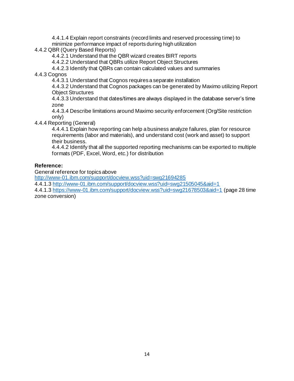4.4.1.4 Explain report constraints (record limits and reserved processing time) to minimize performance impact of reports during high utilization

4.4.2 QBR (Query Based Reports)

4.4.2.1 Understand that the QBR wizard creates BIRT reports

4.4.2.2 Understand that QBRs utilize Report Object Structures

4.4.2.3 Identify that QBRs can contain calculated values and summaries

4.4.3 Cognos

4.4.3.1 Understand that Cognos requires a separate installation

4.4.3.2 Understand that Cognos packages can be generated by Maximo utilizing Report Object Structures

4.4.3.3 Understand that dates/times are always displayed in the database server's time zone

4.4.3.4 Describe limitations around Maximo security enforcement (Org/Site restriction only)

4.4.4 Reporting (General)

4.4.4.1 Explain how reporting can help a business analyze failures, plan for resource requirements (labor and materials), and understand cost (work and asset) to support their business.

4.4.4.2 Identify that all the supported reporting mechanisms can be exported to multiple formats (PDF, Excel, Word, etc.) for distribution

#### **Reference:**

General reference for topics above

<http://www-01.ibm.com/support/docview.wss?uid=swg21694285>

4.4.1.[3 http://www-01.ibm.com/support/docview.wss?uid=swg21505045&aid=1](http://www-01.ibm.com/support/docview.wss?uid=swg21505045&aid=1)

4.4.1.[3 https://www-01.ibm.com/support/docview.wss?uid=swg21678503&aid=1](https://www-01.ibm.com/support/docview.wss?uid=swg21678503&aid=1) (page 28 time zone conversion)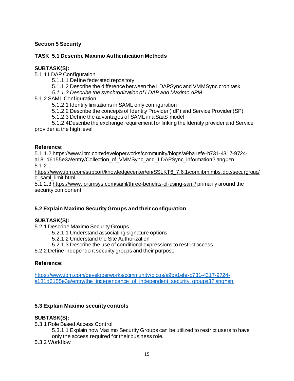# **Section 5 Security**

# **TASK**: **5.1 Describe Maximo Authentication Methods**

#### **SUBTASK(S):**

5.1.1 LDAP Configuration

5.1.1.1 Define federated repository

- 5.1.1.2 Describe the difference between the LDAPSync and VMMSync cron task
- *5.1.1.3 Describe the synchronization of LDAP and Maximo APM*
- 5.1.2 SAML Configuration

5.1.2.1 Identify limitations in SAML only configuration

- 5.1.2.2 Describe the concepts of Identity Provider (IdP) and Service Provider (SP)
- 5.1.2.3 Define the advantages of SAML in a SaaS model

5.1.2.4Describe the exchange requirement for linking the Identity provider and Service provider at the high level

#### **Reference:**

5.1.1.[2 https://www.ibm.com/developerworks/community/blogs/a9ba1efe-b731-4317-9724](https://www.ibm.com/developerworks/community/blogs/a9ba1efe-b731-4317-9724-a181d6155e3a/entry/Collection_of_VMMSync_and_LDAPSync_information?lang=en) [a181d6155e3a/entry/Collection\\_of\\_VMMSync\\_and\\_LDAPSync\\_information?lang=en](https://www.ibm.com/developerworks/community/blogs/a9ba1efe-b731-4317-9724-a181d6155e3a/entry/Collection_of_VMMSync_and_LDAPSync_information?lang=en) 5.1.2.1

[https://www.ibm.com/support/knowledgecenter/en/SSLKT6\\_7.6.1/com.ibm.mbs.doc/securgroup/](https://www.ibm.com/support/knowledgecenter/en/SSLKT6_7.6.1/com.ibm.mbs.doc/securgroup/c_saml_limit.html) [c\\_saml\\_limit.html](https://www.ibm.com/support/knowledgecenter/en/SSLKT6_7.6.1/com.ibm.mbs.doc/securgroup/c_saml_limit.html)

5.1.2.[3 https://www.forumsys.com/saml/three-benefits-of-using-saml/](https://www.forumsys.com/saml/three-benefits-of-using-saml/) primarily around the security component

# **5.2 Explain Maximo Security Groups and their configuration**

# **SUBTASK(S):**

- 5.2.1 Describe Maximo Security Groups
	- 5.2.1.1 Understand associating signature options
	- 5.2.1.2 Understand the Site Authorization
	- 5.2.1.3 Describe the use of conditional expressions to restrict access

5.2.2 Define independent security groups and their purpose

# **Reference:**

[https://www.ibm.com/developerworks/community/blogs/a9ba1efe-b731-4317-9724](https://www.ibm.com/developerworks/community/blogs/a9ba1efe-b731-4317-9724-a181d6155e3a/entry/the_independence_of_independent_security_groups3?lang=en) [a181d6155e3a/entry/the\\_independence\\_of\\_independent\\_security\\_groups3?lang=en](https://www.ibm.com/developerworks/community/blogs/a9ba1efe-b731-4317-9724-a181d6155e3a/entry/the_independence_of_independent_security_groups3?lang=en)

# **5.3 Explain Maximo security controls**

#### **SUBTASK(S):**

5.3.1 Role Based Access Control

5.3.1.1 Explain how Maximo Security Groups can be utilized to restrict users to have only the access required for their business role.

5.3.2 Workflow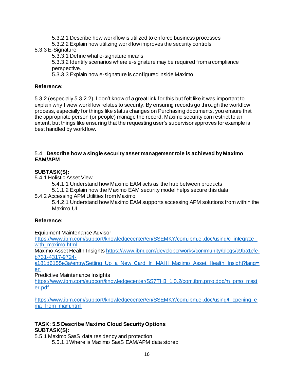- 5.3.2.1 Describe how workflow is utilized to enforce business processes
- 5.3.2.2 Explain how utilizing workflow improves the security controls

#### 5.3.3 E-Signature

5.3.3.1 Define what e-signature means

5.3.3.2 Identify scenarios where e-signature may be required from a compliance perspective.

5.3.3.3 Explain how e-signature is configured inside Maximo

# **Reference:**

5.3.2 (especially 5.3.2.2). I don't know of a great link for this but felt like it was important to explain why I view workflow relates to security. By ensuring records go through the workflow process, especially for things like status changes on Purchasing documents, you ensure that the appropriate person (or people) manage the record. Maximo security can restrict to an extent, but things like ensuring that the requesting user's supervisor approves for example is best handled by workflow.

#### 5.4 **Describe how a single security asset management role is achieved by Maximo EAM/APM**

# **SUBTASK(S):**

- 5.4.1 Holistic Asset View
	- 5.4.1.1 Understand how Maximo EAM acts as the hub between products
	- 5.1.1.2 Explain how the Maximo EAM security model helps secure this data
- 5.4.2 Accessing APM Utilities from Maximo

5.4.2.1 Understand how Maximo EAM supports accessing APM solutions from within the Maximo UI.

# **Reference:**

Equipment Maintenance Advisor

[https://www.ibm.com/support/knowledgecenter/en/SSEMKY/com.ibm.ei.doc/using/c\\_integrate\\_](https://www.ibm.com/support/knowledgecenter/en/SSEMKY/com.ibm.ei.doc/using/c_integrate_with_maximo.html) [with\\_maximo.html](https://www.ibm.com/support/knowledgecenter/en/SSEMKY/com.ibm.ei.doc/using/c_integrate_with_maximo.html)

Maximo Asset Health Insight[s https://www.ibm.com/developerworks/community/blogs/a9ba1efe](https://www.ibm.com/developerworks/community/blogs/a9ba1efe-b731-4317-9724-a181d6155e3a/entry/Setting_Up_a_New_Card_In_MAHI_Maximo_Asset_Health_Insight?lang=en)[b731-4317-9724-](https://www.ibm.com/developerworks/community/blogs/a9ba1efe-b731-4317-9724-a181d6155e3a/entry/Setting_Up_a_New_Card_In_MAHI_Maximo_Asset_Health_Insight?lang=en)

a181d6155e3a/entry/Setting Up a New Card In MAHI Maximo Asset Health Insight?lang= [en](https://www.ibm.com/developerworks/community/blogs/a9ba1efe-b731-4317-9724-a181d6155e3a/entry/Setting_Up_a_New_Card_In_MAHI_Maximo_Asset_Health_Insight?lang=en)

Predictive Maintenance Insights

[https://www.ibm.com/support/knowledgecenter/SS7TH3\\_1.0.2/com.ibm.pmo.doc/m\\_pmo\\_mast](https://www.ibm.com/support/knowledgecenter/SS7TH3_1.0.2/com.ibm.pmo.doc/m_pmo_master.pdf) [er.pdf](https://www.ibm.com/support/knowledgecenter/SS7TH3_1.0.2/com.ibm.pmo.doc/m_pmo_master.pdf)

[https://www.ibm.com/support/knowledgecenter/en/SSEMKY/com.ibm.ei.doc/using/t\\_opening\\_e](https://www.ibm.com/support/knowledgecenter/en/SSEMKY/com.ibm.ei.doc/using/t_opening_ema_from_mam.html) [ma\\_from\\_mam.html](https://www.ibm.com/support/knowledgecenter/en/SSEMKY/com.ibm.ei.doc/using/t_opening_ema_from_mam.html)

#### **TASK: 5.5 Describe Maximo Cloud Security Options SUBTASK(S):**

5.5.1 Maximo SaaS data residency and protection

5.5.1.1Where is Maximo SaaS EAM/APM data stored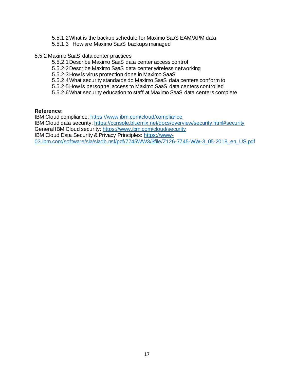- 5.5.1.2What is the backup schedule for Maximo SaaS EAM/APM data
- 5.5.1.3 How are Maximo SaaS backups managed
- 5.5.2 Maximo SaaS data center practices
	- 5.5.2.1Describe Maximo SaaS data center access control
	- 5.5.2.2Describe Maximo SaaS data center wireless networking
	- 5.5.2.3How is virus protection done in Maximo SaaS
	- 5.5.2.4What security standards do Maximo SaaS data centers conform to
	- 5.5.2.5How is personnel access to Maximo SaaS data centers controlled
	- 5.5.2.6What security education to staff at Maximo SaaS data centers complete

#### **Reference:**

IBM Cloud compliance:<https://www.ibm.com/cloud/compliance> IBM Cloud data security[: https://console.bluemix.net/docs/overview/security.html#security](https://console.bluemix.net/docs/overview/security.html#security) General IBM Cloud security[: https://www.ibm.com/cloud/security](https://www.ibm.com/cloud/security) IBM Cloud Data Security & Privacy Principles: [https://www-](https://www-03.ibm.com/software/sla/sladb.nsf/pdf/7745WW3/$file/Z126-7745-WW-3_05-2018_en_US.pdf)[03.ibm.com/software/sla/sladb.nsf/pdf/7745WW3/\\$file/Z126-7745-WW-3\\_05-2018\\_en\\_US.pdf](https://www-03.ibm.com/software/sla/sladb.nsf/pdf/7745WW3/$file/Z126-7745-WW-3_05-2018_en_US.pdf)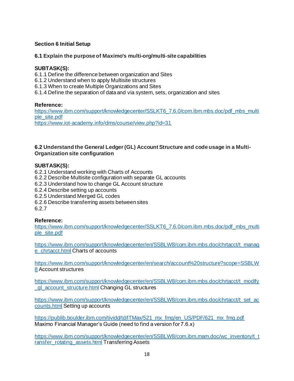# **Section 6 Initial Setup**

#### **6.1 Explain the purpose of Maximo's multi-org/multi-site capabilities**

#### **SUBTASK(S):**

- 6.1.1 Define the difference between organization and Sites
- 6.1.2 Understand when to apply Multisite structures
- 6.1.3 When to create Multiple Organizations and Sites
- 6.1.4 Define the separation of data and via system, sets, organization and sites

#### **Reference:**

[https://www.ibm.com/support/knowledgecenter/SSLKT6\\_7.6.0/com.ibm.mbs.doc/pdf\\_mbs\\_multi](https://www.ibm.com/support/knowledgecenter/SSLKT6_7.6.0/com.ibm.mbs.doc/pdf_mbs_multiple_site.pdf) [ple\\_site.pdf](https://www.ibm.com/support/knowledgecenter/SSLKT6_7.6.0/com.ibm.mbs.doc/pdf_mbs_multiple_site.pdf) https://www.jot-academy.jnfo/dms/course/view.php?id=31

#### **6.2 Understand the General Ledger (GL) Account Structure and code usage in a Multi-Organization site configuration**

#### **SUBTASK(S):**

6.2.1 Understand working with Charts of Accounts

- 6.2.2 Describe Multisite configuration with separate GL accounts
- 6.2.3 Understand how to change GL Account structure
- 6.2.4 Describe setting up accounts
- 6.2.5 Understand Merged GL codes
- 6.2.6 Describe transferring assets between sites

6.2.7

#### **Reference:**

[https://www.ibm.com/support/knowledgecenter/SSLKT6\\_7.6.0/com.ibm.mbs.doc/pdf\\_mbs\\_multi](https://www.ibm.com/support/knowledgecenter/SSLKT6_7.6.0/com.ibm.mbs.doc/pdf_mbs_multiple_site.pdf) [ple\\_site.pdf](https://www.ibm.com/support/knowledgecenter/SSLKT6_7.6.0/com.ibm.mbs.doc/pdf_mbs_multiple_site.pdf)

[https://www.ibm.com/support/knowledgecenter/en/SSBLW8/com.ibm.mbs.doc/chrtacct/t\\_manag](https://www.ibm.com/support/knowledgecenter/en/SSBLW8/com.ibm.mbs.doc/chrtacct/t_manage_chrtacct.html) [e\\_chrtacct.html](https://www.ibm.com/support/knowledgecenter/en/SSBLW8/com.ibm.mbs.doc/chrtacct/t_manage_chrtacct.html) Charts of accounts

[https://www.ibm.com/support/knowledgecenter/en/search/account%20structure?scope=SSBLW](https://www.ibm.com/support/knowledgecenter/en/search/account%20structure?scope=SSBLW8) [8](https://www.ibm.com/support/knowledgecenter/en/search/account%20structure?scope=SSBLW8) Account structures

[https://www.ibm.com/support/knowledgecenter/en/SSBLW8/com.ibm.mbs.doc/chrtacct/t\\_modify](https://www.ibm.com/support/knowledgecenter/en/SSBLW8/com.ibm.mbs.doc/chrtacct/t_modify_gl_account_structure.html) **ql\_account\_structure.html Changing GL structures** 

[https://www.ibm.com/support/knowledgecenter/en/SSBLW8/com.ibm.mbs.doc/chrtacct/t\\_set\\_ac](https://www.ibm.com/support/knowledgecenter/en/SSBLW8/com.ibm.mbs.doc/chrtacct/t_set_accounts.html) [counts.html](https://www.ibm.com/support/knowledgecenter/en/SSBLW8/com.ibm.mbs.doc/chrtacct/t_set_accounts.html) Setting up accounts

[https://publib.boulder.ibm.com/tividd/td/ITMax/521\\_mx\\_fmg/en\\_US/PDF/621\\_mx\\_fmg.pdf](https://publib.boulder.ibm.com/tividd/td/ITMax/521_mx_fmg/en_US/PDF/621_mx_fmg.pdf) Maximo Financial Manager's Guide (need to find a version for 7.6.x)

[https://www.ibm.com/support/knowledgecenter/en/SSBLW8/com.ibm.mam.doc/wc\\_inventory/t\\_t](https://www.ibm.com/support/knowledgecenter/en/SSBLW8/com.ibm.mam.doc/wc_inventory/t_transfer_rotating_assets.html) [ransfer\\_rotating\\_assets.html](https://www.ibm.com/support/knowledgecenter/en/SSBLW8/com.ibm.mam.doc/wc_inventory/t_transfer_rotating_assets.html) Transferring Assets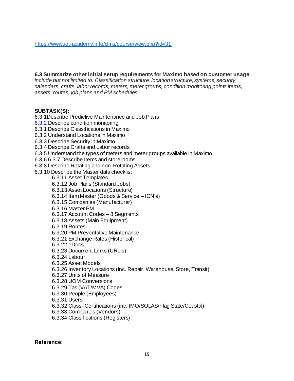#### **6.3 Summarize other initial setup requirements for Maximo based on customer usage**

*include but not limited to: Classification structure, location structure, systems, security, calendars, crafts, labor records, meters, meter groups, condition monitoring points items, assets, routes, job plans and PM schedules*

#### **SUBTASK(S):**

6.3.1Describe Predictive Maintenance and Job Plans 6.3.2 Describe condition monitoring 6.3.1 Describe Classifications in Maximo 6.3.2 Understand Locations in Maximo 6.3.3 Describe Security in Maximo 6.3.4 Describe Crafts and Labor records 6.3.5 Understand the types of meters and meter groups available in Maximo 6.3.6 6.3.7 Describe Items and storerooms 6.3.8 Describe Rotating and non-Rotating Assets 6.3.10 Describe the Master data checklist 6.3.11 Asset Templates 6.3.12 Job Plans (Standard Jobs) 6.3.13 Asset Locations (Structure) 6.3.14 Item Master (Goods & Service – ICN's) 6.3.15 Companies (Manufacturer) 6.3.16 Master PM 6.3.17 Account Codes – 8 Segments 6.3.18 Assets (Main Equipment) 6.3.19 Routes 6.3.20 PM Preventative Maintenance 6.3.21 Exchange Rates (Historical) 6.3.22 eDocs 6.3.23 Document Links (URL's) 6.3.24 Labour 6.3.25 Asset Models 6.3.26 Inventory Locations (inc. Repair, Warehouse, Store, Transit) 6.3.27 Units of Measure 6.3.28 UOM Conversions 6.3.29 Tas (VAT/MVA) Codes 6.3.30 People (Employees) 6.3.31 Users 6.3.32 Class- Certifications (inc. IMO/SOLAS/Flag State/Coastal) 6.3.33 Companies (Vendors) 6.3.34 Classifications (Registers)

**Reference:**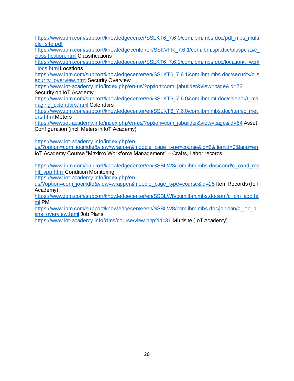[https://www.ibm.com/support/knowledgecenter/SSLKT6\\_7.6.0/com.ibm.mbs.doc/pdf\\_mbs\\_multi](https://www.ibm.com/support/knowledgecenter/SSLKT6_7.6.0/com.ibm.mbs.doc/pdf_mbs_multiple_site.pdf) [ple\\_site.pdf](https://www.ibm.com/support/knowledgecenter/SSLKT6_7.6.0/com.ibm.mbs.doc/pdf_mbs_multiple_site.pdf)

[https://www.ibm.com/support/knowledgecenter/en/SSKVFR\\_7.6.1/com.ibm.spr.doc/pluspclas/c\\_](https://www.ibm.com/support/knowledgecenter/en/SSKVFR_7.6.1/com.ibm.spr.doc/pluspclas/c_classification.html) [classification.html](https://www.ibm.com/support/knowledgecenter/en/SSKVFR_7.6.1/com.ibm.spr.doc/pluspclas/c_classification.html) Classifications

[https://www.ibm.com/support/knowledgecenter/SSLKT6\\_7.6.1/com.ibm.mbs.doc/location/t\\_work](https://www.ibm.com/support/knowledgecenter/SSLKT6_7.6.1/com.ibm.mbs.doc/location/t_work_locs.html) [\\_locs.html](https://www.ibm.com/support/knowledgecenter/SSLKT6_7.6.1/com.ibm.mbs.doc/location/t_work_locs.html) Locations

[https://www.ibm.com/support/knowledgecenter/en/SSLKT6\\_7.6.1/com.ibm.mbs.doc/security/c\\_s](https://www.ibm.com/support/knowledgecenter/en/SSLKT6_7.6.1/com.ibm.mbs.doc/security/c_security_overview.html) [ecurity\\_overview.html](https://www.ibm.com/support/knowledgecenter/en/SSLKT6_7.6.1/com.ibm.mbs.doc/security/c_security_overview.html) Security Overview

[https://www.iot-academy.info/index.php/en-us/?option=com\\_jabuilder&view=page&id=73](https://www.iot-academy.info/index.php/en-us/?option=com_jabuilder&view=page&id=73) Security on IoT Academy

[https://www.ibm.com/support/knowledgecenter/en/SSLKT6\\_7.6.0/com.ibm.mt.doc/calendr/t\\_ma](https://www.ibm.com/support/knowledgecenter/en/SSLKT6_7.6.0/com.ibm.mt.doc/calendr/t_managing_calendars.html) [naging\\_calendars.html](https://www.ibm.com/support/knowledgecenter/en/SSLKT6_7.6.0/com.ibm.mt.doc/calendr/t_managing_calendars.html) Calendars

[https://www.ibm.com/support/knowledgecenter/en/SSLKT6\\_7.6.0/com.ibm.mbs.doc/item/c\\_met](https://www.ibm.com/support/knowledgecenter/en/SSLKT6_7.6.0/com.ibm.mbs.doc/item/c_meters.html) [ers.html](https://www.ibm.com/support/knowledgecenter/en/SSLKT6_7.6.0/com.ibm.mbs.doc/item/c_meters.html) Meters

[https://www.iot-academy.info/index.php/en-us/?option=com\\_jabuilder&view=page&id=64](https://www.iot-academy.info/index.php/en-us/?option=com_jabuilder&view=page&id=64) Asset Configuration (incl. Meters in IoT Academy)

[https://www.iot-academy.info/index.php/en-](https://www.iot-academy.info/index.php/en-us/?option=com_joomdle&view=wrapper&moodle_page_type=course&id=6&Itemid=0&lang=en)

[us/?option=com\\_joomdle&view=wrapper&moodle\\_page\\_type=course&id=6&Itemid=0&lang=en](https://www.iot-academy.info/index.php/en-us/?option=com_joomdle&view=wrapper&moodle_page_type=course&id=6&Itemid=0&lang=en) IoT Academy Course "Maximo Workforce Management" – Crafts, Labor records

[https://www.ibm.com/support/knowledgecenter/en/SSBLW8/com.ibm.mbs.doc/cond/c\\_cond\\_mo](https://www.ibm.com/support/knowledgecenter/en/SSBLW8/com.ibm.mbs.doc/cond/c_cond_monit_app.html) [nit\\_app.html](https://www.ibm.com/support/knowledgecenter/en/SSBLW8/com.ibm.mbs.doc/cond/c_cond_monit_app.html) Condition Monitoring

[https://www.iot-academy.info/index.php/en-](https://www.iot-academy.info/index.php/en-us/?option=com_joomdle&view=wrapper&moodle_page_type=course&id=25)

[us/?option=com\\_joomdle&view=wrapper&moodle\\_page\\_type=course&id=25](https://www.iot-academy.info/index.php/en-us/?option=com_joomdle&view=wrapper&moodle_page_type=course&id=25) Item Records (IoT Academy)

[https://www.ibm.com/support/knowledgecenter/en/SSBLW8/com.ibm.mbs.doc/pm/c\\_pm\\_app.ht](https://www.ibm.com/support/knowledgecenter/en/SSBLW8/com.ibm.mbs.doc/pm/c_pm_app.html) [ml](https://www.ibm.com/support/knowledgecenter/en/SSBLW8/com.ibm.mbs.doc/pm/c_pm_app.html) PM

[https://www.ibm.com/support/knowledgecenter/en/SSBLW8/com.ibm.mbs.doc/jobplan/c\\_job\\_pl](https://www.ibm.com/support/knowledgecenter/en/SSBLW8/com.ibm.mbs.doc/jobplan/c_job_plans_overview.html) [ans\\_overview.html](https://www.ibm.com/support/knowledgecenter/en/SSBLW8/com.ibm.mbs.doc/jobplan/c_job_plans_overview.html) Job Plans

<https://www.iot-academy.info/clms/course/view.php?id=31> Multisite (IoT Academy)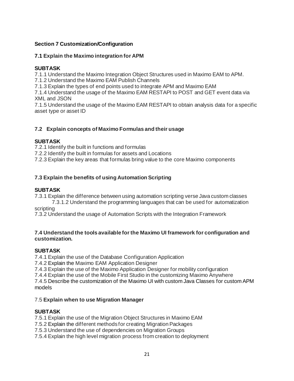# **Section 7 Customization/Configuration**

# **7.1 Explain the Maximo integration for APM**

# **SUBTASK**

7.1.1 Understand the Maximo Integration Object Structures used in Maximo EAM to APM.

7.1.2 Understand the Maximo EAM Publish Channels

7.1.3 Explain the types of end points used to integrate APM and Maximo EAM

7.1.4 Understand the usage of the Maximo EAM RESTAPI to POST and GET event data via XML and JSON

7.1.5 Understand the usage of the Maximo EAM RESTAPI to obtain analysis data for a specific asset type or asset ID

# **7.2 Explain concepts of Maximo Formulas and their usage**

# **SUBTASK**

7.2.1 Identify the built in functions and formulas

7.2.2 Identify the built in formulas for assets and Locations

7.2.3 Explain the key areas that formulas bring value to the core Maximo components

# **7.3 Explain the benefits of using Automation Scripting**

# **SUBTASK**

7.3.1 Explain the difference between using automation scripting verse Java custom classes

7.3.1.2 Understand the programming languages that can be used for automatization scripting

7.3.2 Understand the usage of Automation Scripts with the Integration Framework

#### **7.4 Understand the tools available for the Maximo UI framework for configuration and customization.**

# **SUBTASK**

7.4.1 Explain the use of the Database Configuration Application

7.4.2 Explain the Maximo EAM Application Designer

7.4.3 Explain the use of the Maximo Application Designer for mobility configuration

7.4.4 Explain the use of the Mobile First Studio in the customizing Maximo Anywhere

7.4.5 Describe the customization of the Maximo UI with custom Java Classes for custom APM models

# 7.5 **Explain when to use Migration Manager**

# **SUBTASK**

7.5.1 Explain the use of the Migration Object Structures in Maximo EAM

7.5.2 Explain the different methods for creating Migration Packages

7.5.3 Understand the use of dependencies on Migration Groups

7.5.4 Explain the high level migration process from creation to deployment